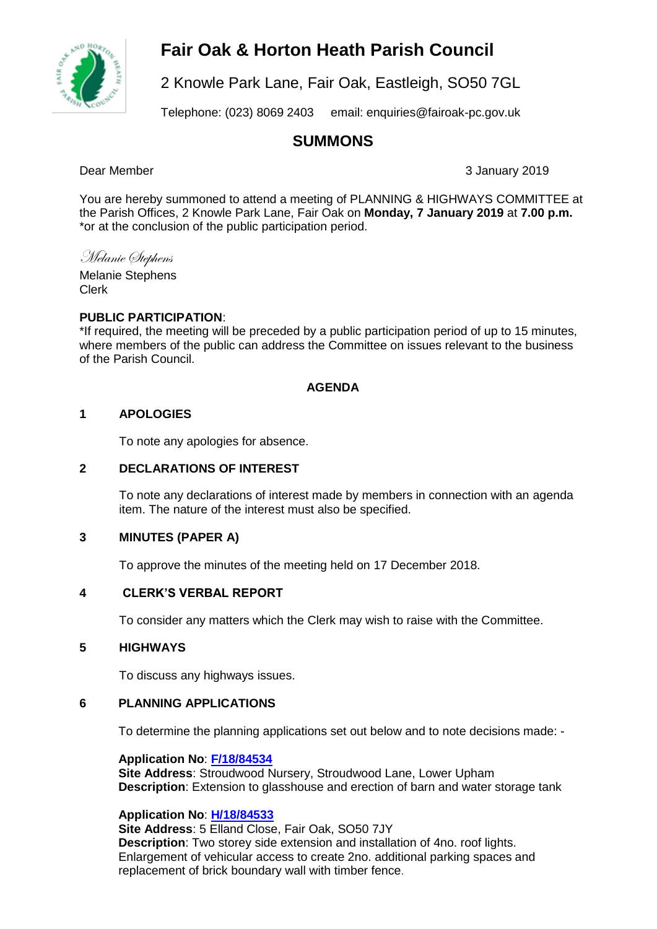# **Fair Oak & Horton Heath Parish Council**



2 Knowle Park Lane, Fair Oak, Eastleigh, SO50 7GL

Telephone: (023) 8069 2403 email: enquiries@fairoak-pc.gov.uk

# **SUMMONS**

Dear Member 3 January 2019

You are hereby summoned to attend a meeting of PLANNING & HIGHWAYS COMMITTEE at the Parish Offices, 2 Knowle Park Lane, Fair Oak on **Monday, 7 January 2019** at **7.00 p.m.**  \*or at the conclusion of the public participation period.

Melanie Stephens

Melanie Stephens Clerk

# **PUBLIC PARTICIPATION**:

\*If required, the meeting will be preceded by a public participation period of up to 15 minutes, where members of the public can address the Committee on issues relevant to the business of the Parish Council.

# **AGENDA**

# **1 APOLOGIES**

To note any apologies for absence.

# **2 DECLARATIONS OF INTEREST**

To note any declarations of interest made by members in connection with an agenda item. The nature of the interest must also be specified.

# **3 MINUTES (PAPER A)**

To approve the minutes of the meeting held on 17 December 2018.

# **4 CLERK'S VERBAL REPORT**

To consider any matters which the Clerk may wish to raise with the Committee.

# **5 HIGHWAYS**

To discuss any highways issues.

# **6 PLANNING APPLICATIONS**

To determine the planning applications set out below and to note decisions made: -

**Application No**: **[F/18/84534](https://planning.eastleigh.gov.uk/s/papplication/a1M1v000004IiyE)**

**Site Address**: Stroudwood Nursery, Stroudwood Lane, Lower Upham **Description**: Extension to glasshouse and erection of barn and water storage tank

# **Application No**: **[H/18/84533](https://planning.eastleigh.gov.uk/s/papplication/a1M1v000004Iiy9)**

**Site Address**: 5 Elland Close, Fair Oak, SO50 7JY **Description**: Two storey side extension and installation of 4no. roof lights. Enlargement of vehicular access to create 2no. additional parking spaces and replacement of brick boundary wall with timber fence.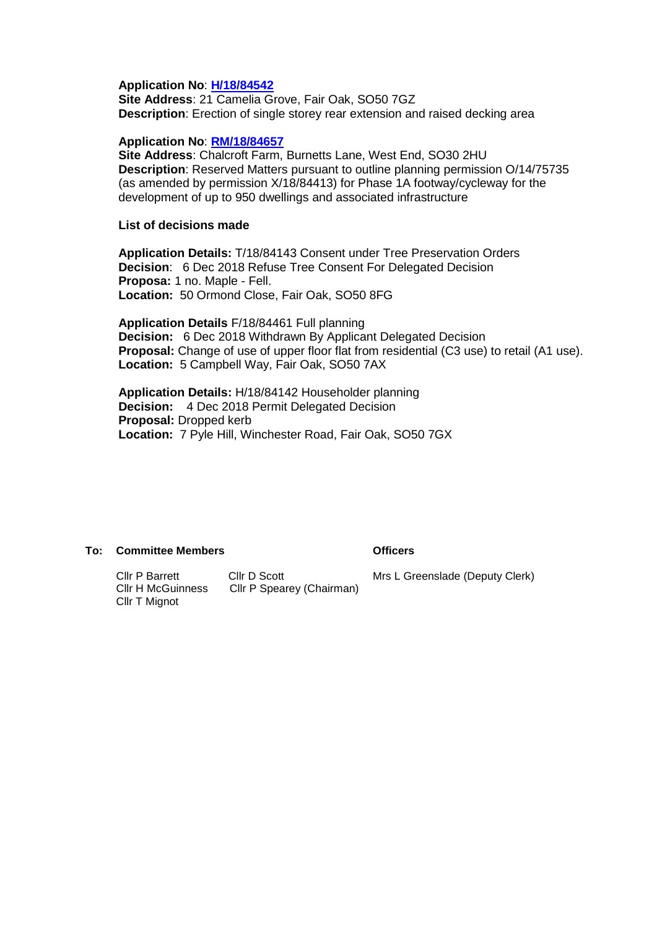#### **Application No**: **[H/18/84542](https://planning.eastleigh.gov.uk/s/papplication/a1M1v000004IjGq)**

**Site Address**: 21 Camelia Grove, Fair Oak, SO50 7GZ **Description**: Erection of single storey rear extension and raised decking area

#### **Application No**: **[RM/18/84657](https://planning.eastleigh.gov.uk/s/papplication/a1M1v000004Ipu0)**

**Site Address**: Chalcroft Farm, Burnetts Lane, West End, SO30 2HU **Description**: Reserved Matters pursuant to outline planning permission O/14/75735 (as amended by permission X/18/84413) for Phase 1A footway/cycleway for the development of up to 950 dwellings and associated infrastructure

#### **List of decisions made**

**Application Details:** T/18/84143 Consent under Tree Preservation Orders **Decision**: 6 Dec 2018 Refuse Tree Consent For Delegated Decision **Proposa:** 1 no. Maple - Fell. **Location:** 50 Ormond Close, Fair Oak, SO50 8FG

**Application Details** F/18/84461 Full planning **Decision:** 6 Dec 2018 Withdrawn By Applicant Delegated Decision **Proposal:** Change of use of upper floor flat from residential (C3 use) to retail (A1 use). **Location:** 5 Campbell Way, Fair Oak, SO50 7AX

**Application Details:** H/18/84142 Householder planning **Decision:** 4 Dec 2018 Permit Delegated Decision **Proposal:** Dropped kerb **Location:** 7 Pyle Hill, Winchester Road, Fair Oak, SO50 7GX

#### **To: Committee Members Officers**

Cllr P Barrett Cllr D Scott<br>Cllr H McGuinness Cllr P Spear Cllr P Spearey (Chairman) Cllr T Mignot

Mrs L Greenslade (Deputy Clerk)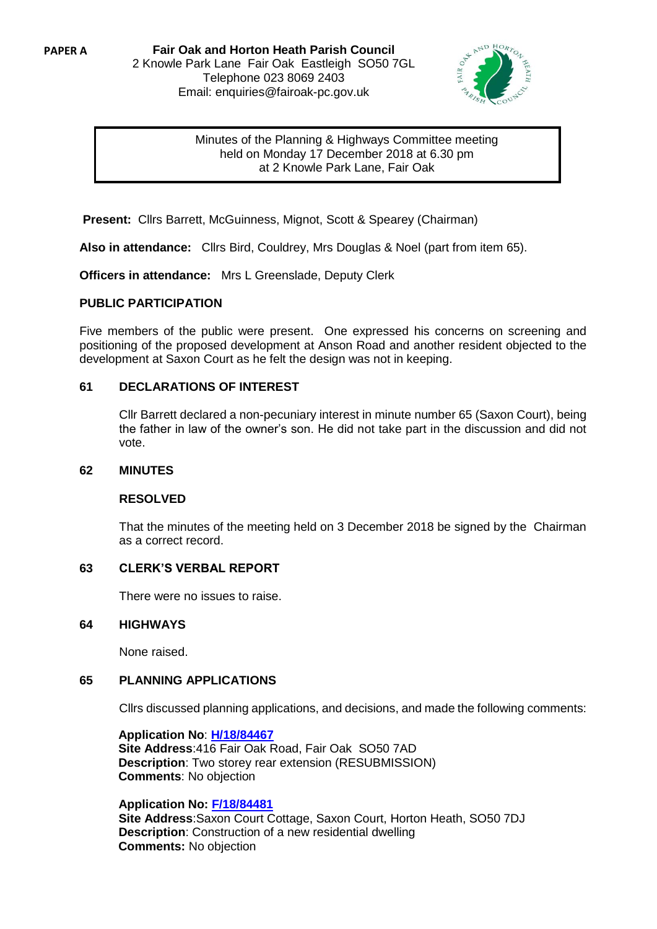**Fair Oak and Horton Heath Parish Council** 2 Knowle Park Lane Fair Oak Eastleigh SO50 7GL Telephone 023 8069 2403 Email: enquiries@fairoak-pc.gov.uk



# Minutes of the Planning & Highways Committee meeting held on Monday 17 December 2018 at 6.30 pm at 2 Knowle Park Lane, Fair Oak

**Present:** Cllrs Barrett, McGuinness, Mignot, Scott & Spearey (Chairman)

**Also in attendance:** Cllrs Bird, Couldrey, Mrs Douglas & Noel (part from item 65).

**Officers in attendance:** Mrs L Greenslade, Deputy Clerk

#### **PUBLIC PARTICIPATION**

Five members of the public were present. One expressed his concerns on screening and positioning of the proposed development at Anson Road and another resident objected to the development at Saxon Court as he felt the design was not in keeping.

#### **61 DECLARATIONS OF INTEREST**

Cllr Barrett declared a non-pecuniary interest in minute number 65 (Saxon Court), being the father in law of the owner's son. He did not take part in the discussion and did not vote.

#### **62 MINUTES**

#### **RESOLVED**

That the minutes of the meeting held on 3 December 2018 be signed by the Chairman as a correct record.

# **63 CLERK'S VERBAL REPORT**

There were no issues to raise.

#### **64 HIGHWAYS**

None raised.

# **65 PLANNING APPLICATIONS**

Cllrs discussed planning applications, and decisions, and made the following comments:

**Application No**: **[H/18/84467](https://planning.eastleigh.gov.uk/s/papplication/a1M1v000004Idi3) Site Address**:416 Fair Oak Road, Fair Oak SO50 7AD **Description**: Two storey rear extension (RESUBMISSION) **Comments**: No objection

# **Application No: [F/18/84481](https://planning.eastleigh.gov.uk/s/papplication/a1M1v000004Idsi)**

**Site Address**:Saxon Court Cottage, Saxon Court, Horton Heath, SO50 7DJ **Description**: Construction of a new residential dwelling **Comments:** No objection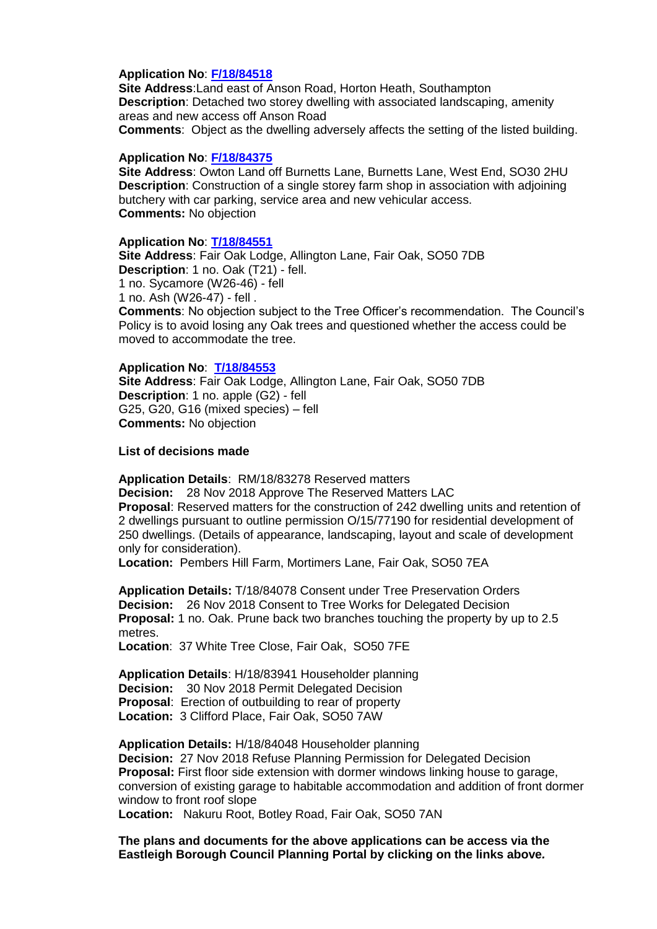#### **Application No**: **[F/18/84518](https://planning.eastleigh.gov.uk/s/papplication/a1M1v000004IiAX)**

**Site Address**:Land east of Anson Road, Horton Heath, Southampton **Description**: Detached two storey dwelling with associated landscaping, amenity areas and new access off Anson Road **Comments**: Object as the dwelling adversely affects the setting of the listed building.

#### **Application No**: **[F/18/84375](https://planning.eastleigh.gov.uk/s/papplication/a1M1v0000041MAL)**

**Site Address**: Owton Land off Burnetts Lane, Burnetts Lane, West End, SO30 2HU **Description**: Construction of a single storey farm shop in association with adjoining butchery with car parking, service area and new vehicular access. **Comments:** No objection

#### **Application No**: **[T/18/84551](https://planning.eastleigh.gov.uk/s/papplication/a1M1v000004IjJ3)**

**Site Address**: Fair Oak Lodge, Allington Lane, Fair Oak, SO50 7DB **Description**: 1 no. Oak (T21) - fell. 1 no. Sycamore (W26-46) - fell 1 no. Ash (W26-47) - fell . **Comments**: No objection subject to the Tree Officer's recommendation. The Council's Policy is to avoid losing any Oak trees and questioned whether the access could be moved to accommodate the tree.

#### **Application No**: **[T/18/84553](https://planning.eastleigh.gov.uk/s/papplication/a1M1v000004IjJo)**

**Site Address**: Fair Oak Lodge, Allington Lane, Fair Oak, SO50 7DB **Description**: 1 no. apple (G2) - fell G25, G20, G16 (mixed species) – fell **Comments:** No objection

**List of decisions made**

**Application Details**: RM/18/83278 Reserved matters **Decision:** 28 Nov 2018 Approve The Reserved Matters LAC **Proposal**: Reserved matters for the construction of 242 dwelling units and retention of 2 dwellings pursuant to outline permission O/15/77190 for residential development of 250 dwellings. (Details of appearance, landscaping, layout and scale of development only for consideration).

**Location:** Pembers Hill Farm, Mortimers Lane, Fair Oak, SO50 7EA

**Application Details:** T/18/84078 Consent under Tree Preservation Orders **Decision:** 26 Nov 2018 Consent to Tree Works for Delegated Decision **Proposal:** 1 no. Oak. Prune back two branches touching the property by up to 2.5 metres.

**Location**: 37 White Tree Close, Fair Oak, SO50 7FE

**Application Details**: H/18/83941 Householder planning **Decision:** 30 Nov 2018 Permit Delegated Decision **Proposal**: Erection of outbuilding to rear of property **Location:** 3 Clifford Place, Fair Oak, SO50 7AW

**Application Details:** H/18/84048 Householder planning **Decision:** 27 Nov 2018 Refuse Planning Permission for Delegated Decision **Proposal:** First floor side extension with dormer windows linking house to garage, conversion of existing garage to habitable accommodation and addition of front dormer window to front roof slope

**Location:** Nakuru Root, Botley Road, Fair Oak, SO50 7AN

**The plans and documents for the above applications can be access via the Eastleigh Borough Council Planning Portal by clicking on the links above***.*